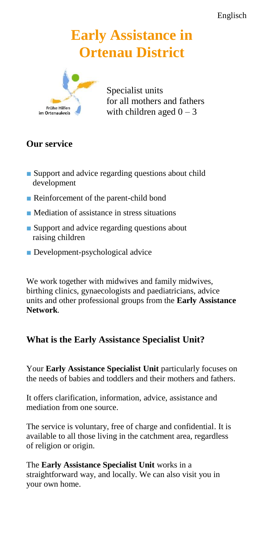# **Early Assistance in Ortenau District**



Specialist units for all mothers and fathers with children aged  $0 - 3$ 

# **Our service**

- Support and advice regarding questions about child development
- Reinforcement of the parent-child bond
- Mediation of assistance in stress situations
- Support and advice regarding questions about raising children
- Development-psychological advice

We work together with midwives and family midwives, birthing clinics, gynaecologists and paediatricians, advice units and other professional groups from the **Early Assistance Network**.

## **What is the Early Assistance Specialist Unit?**

Your **Early Assistance Specialist Unit** particularly focuses on the needs of babies and toddlers and their mothers and fathers.

It offers clarification, information, advice, assistance and mediation from one source.

The service is voluntary, free of charge and confidential. It is available to all those living in the catchment area, regardless of religion or origin.

The **Early Assistance Specialist Unit** works in a straightforward way, and locally. We can also visit you in your own home.